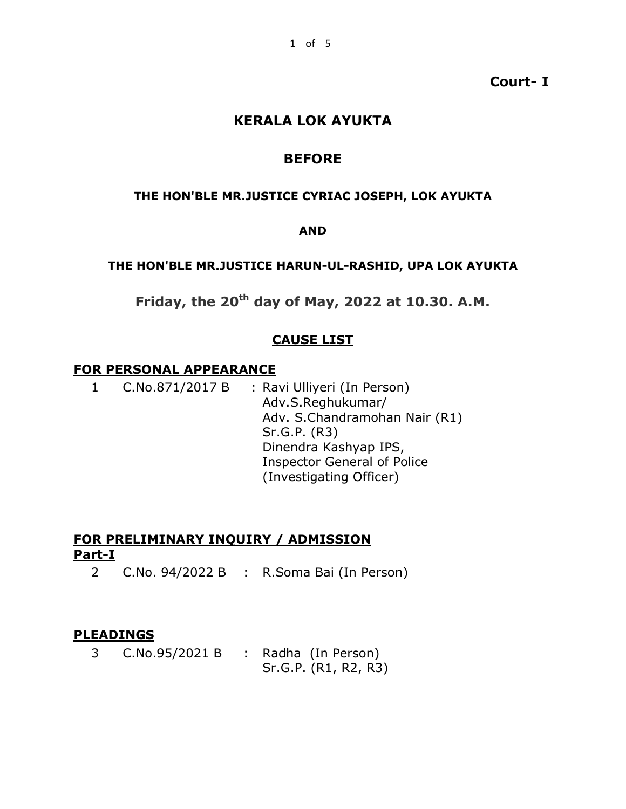# **Court- I**

# **KERALA LOK AYUKTA**

# **BEFORE**

#### **THE HON'BLE MR.JUSTICE CYRIAC JOSEPH, LOK AYUKTA**

### **AND**

### **THE HON'BLE MR.JUSTICE HARUN-UL-RASHID, UPA LOK AYUKTA**

**Friday, the 20th day of May, 2022 at 10.30. A.M.**

## **CAUSE LIST**

#### **FOR PERSONAL APPEARANCE**

1 C.No.871/2017 B : Ravi Ulliyeri (In Person) Adv.S.Reghukumar/ Adv. S.Chandramohan Nair (R1) Sr.G.P. (R3) Dinendra Kashyap IPS, Inspector General of Police (Investigating Officer)

# **FOR PRELIMINARY INQUIRY / ADMISSION Part-I**

2 C.No. 94/2022 B : R.Soma Bai (In Person)

### **PLEADINGS**

3 C.No.95/2021 B : Radha (In Person) Sr.G.P. (R1, R2, R3)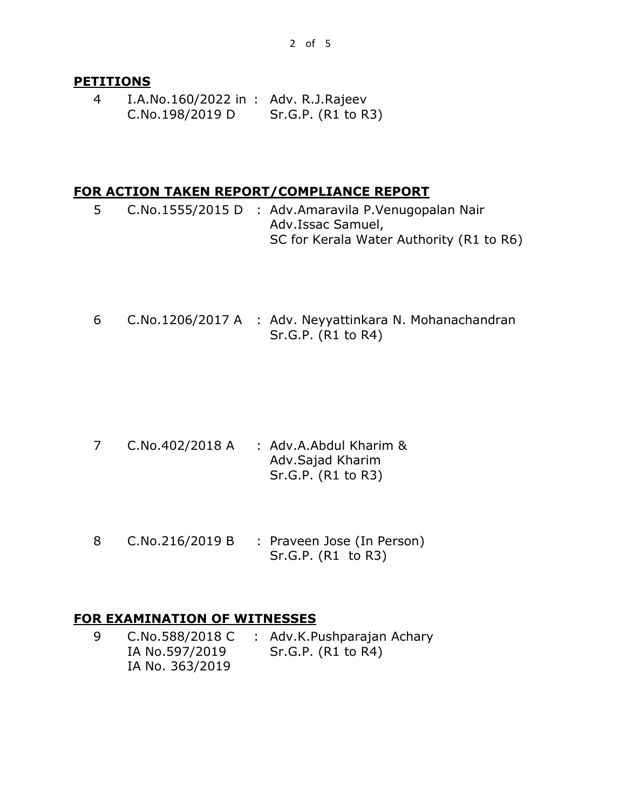### **PETITIONS**

4 I.A.No.160/2022 in : Adv. R.J.Rajeev C.No.198/2019 D Sr.G.P. (R1 to R3)

### **FOR ACTION TAKEN REPORT/COMPLIANCE REPORT**

- 5 C.No.1555/2015 D : Adv.Amaravila P.Venugopalan Nair Adv.Issac Samuel, SC for Kerala Water Authority (R1 to R6)
- 6 C.No.1206/2017 A : Adv. Neyyattinkara N. Mohanachandran Sr.G.P. (R1 to R4)

- 7 C.No.402/2018 A : Adv.A.Abdul Kharim & Adv.Sajad Kharim Sr.G.P. (R1 to R3)
- 8 C.No.216/2019 B : Praveen Jose (In Person) Sr.G.P. (R1 to R3)

### **FOR EXAMINATION OF WITNESSES**

9 C.No.588/2018 C IA No.597/2019 IA No. 363/2019 : Adv.K.Pushparajan Achary Sr.G.P. (R1 to R4)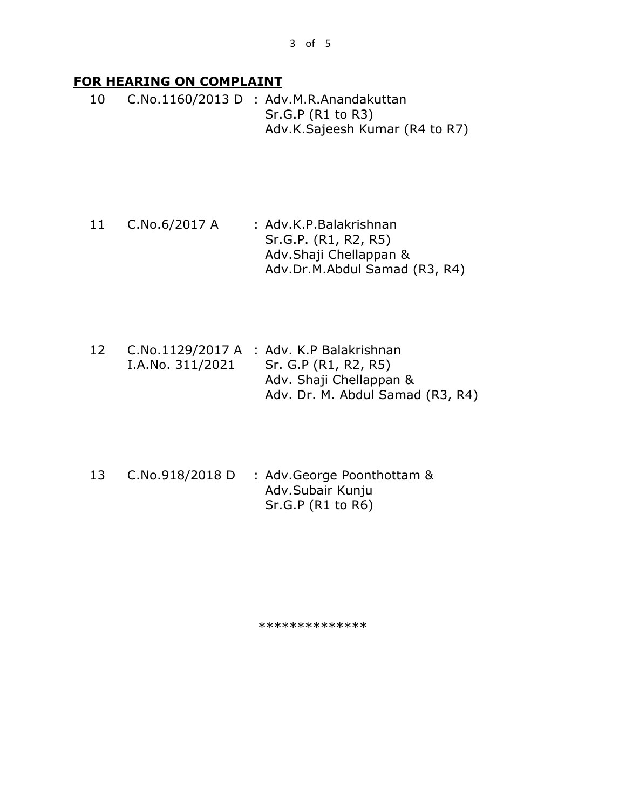# **FOR HEARING ON COMPLAINT**

10 C.No.1160/2013 D : Adv.M.R.Anandakuttan Sr.G.P (R1 to R3) Adv.K.Sajeesh Kumar (R4 to R7)

- 11 C.No.6/2017 A : Adv.K.P.Balakrishnan Sr.G.P. (R1, R2, R5) Adv.Shaji Chellappan & Adv.Dr.M.Abdul Samad (R3, R4)
- 12 C.No.1129/2017 A : Adv. K.P Balakrishnan I.A.No. 311/2021 Sr. G.P (R1, R2, R5) Adv. Shaji Chellappan & Adv. Dr. M. Abdul Samad (R3, R4)
- 13 C.No.918/2018 D : Adv.George Poonthottam & Adv.Subair Kunju Sr.G.P (R1 to R6)

\*\*\*\*\*\*\*\*\*\*\*\*\*\*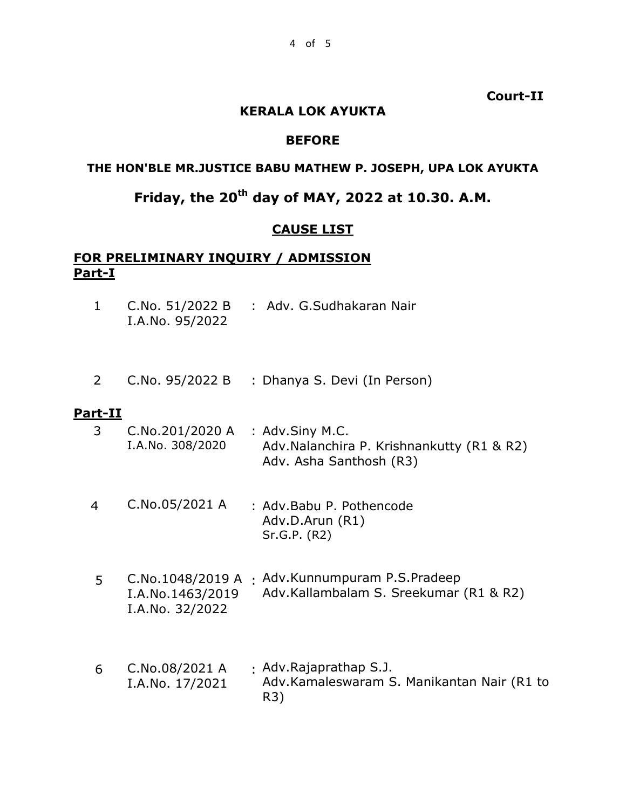**Court-II**

### **KERALA LOK AYUKTA**

### **BEFORE**

### **THE HON'BLE MR.JUSTICE BABU MATHEW P. JOSEPH, UPA LOK AYUKTA**

# **Friday, the 20th day of MAY, 2022 at 10.30. A.M.**

## **CAUSE LIST**

# **FOR PRELIMINARY INQUIRY / ADMISSION Part-I**

- 1 C.No. 51/2022 B I.A.No. 95/2022 : Adv. G.Sudhakaran Nair
- 2 C.No. 95/2022 B : Dhanya S. Devi (In Person)

### **Part-II**

- 3 C.No.201/2020 A I.A.No. 308/2020 : Adv.Siny M.C. Adv.Nalanchira P. Krishnankutty (R1 & R2) Adv. Asha Santhosh (R3)
- 4 C.No.05/2021 A : Adv.Babu P. Pothencode Adv.D.Arun (R1) Sr.G.P. (R2)
- 5 C.No.1048/2019 A : Adv.Kunnumpuram P.S.Pradeep I.A.No.1463/2019 I.A.No. 32/2022 Adv.Kallambalam S. Sreekumar (R1 & R2)
- 6 C.No.08/2021 A I.A.No. 17/2021 : Adv.Rajaprathap S.J. Adv.Kamaleswaram S. Manikantan Nair (R1 to R3)